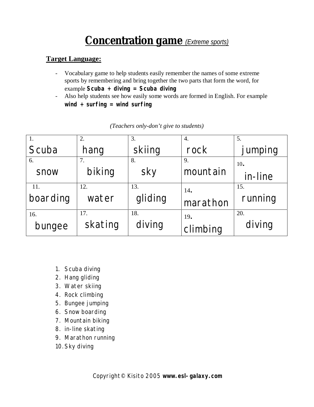# **Concentration game** *(Extreme sports)*

#### **Target Language:**

- Vocabulary game to help students easily remember the names of some extreme sports by remembering and bring together the two parts that form the word, for example **Scuba + diving = Scuba diving**
- Also help students see how easily some words are formed in English. For example **wind + surfing = wind surfing**

| 1.       | 2.      | 3.      | 4.       | 5.      |
|----------|---------|---------|----------|---------|
| Scuba    | hang    | skiing  | rock     | jumping |
| 6.       | 7.      | 8.      | 9.       | 10.     |
| snow     | biking  | sky     | mountain | in-line |
| 11.      | 12.     | 13.     | 14.      | 15.     |
| boarding | water   | gliding | marathon | running |
| 16.      | 17.     | 18.     | 19.      | 20.     |
| bungee   | skating | diving  | climbing | diving  |

*(Teachers only-don't give to students)*

- 1. Scuba diving
- 2. Hang gliding
- 3. Water skiing
- 4. Rock climbing
- 5. Bungee jumping
- 6. Snow boarding
- 7. Mountain biking
- 8. in-line skating
- 9. Marathon running
- 10.Sky diving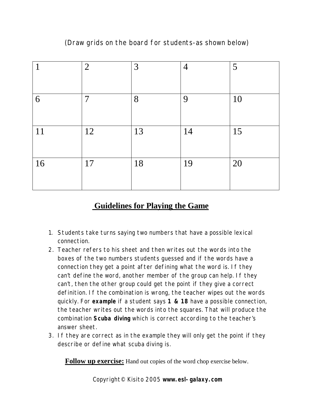### (Draw grids on the board for students-as shown below)

| 1  | $\overline{2}$ | 3  | $\overline{4}$ | 5  |
|----|----------------|----|----------------|----|
| 6  | $\overline{7}$ | 8  | 9              | 10 |
| 11 | 12             | 13 | 14             | 15 |
| 16 | 17             | 18 | 19             | 20 |

## **Guidelines for Playing the Game**

- 1. Students take turns saying two numbers that have a possible lexical connection.
- 2. Teacher refers to his sheet and then writes out the words into the boxes of the two numbers students guessed and if the words have a connection they get a point after defining what the word is. If they can't define the word, another member of the group can help. If they can't, then the other group could get the point if they give a correct definition. If the combination is wrong, the teacher wipes out the words quickly. For **example** if a student says **1 & 18** have a possible connection, the teacher writes out the words into the squares. That will produce the combination **Scuba diving** which is correct according to the teacher's answer sheet.
- 3. If they are correct as in the example they will only get the point if they describe or define what scuba diving is.

**Follow up exercise:** Hand out copies of the word chop exercise below.

Copyright© Kisito 2005 **[www.esl-galaxy.com](http://www.esl-galaxy.com)**